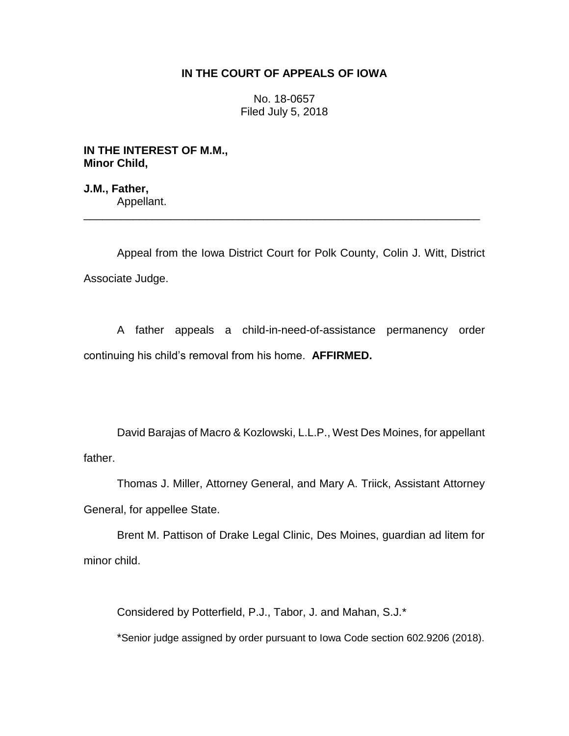# **IN THE COURT OF APPEALS OF IOWA**

No. 18-0657 Filed July 5, 2018

**IN THE INTEREST OF M.M., Minor Child,**

**J.M., Father,** Appellant. \_\_\_\_\_\_\_\_\_\_\_\_\_\_\_\_\_\_\_\_\_\_\_\_\_\_\_\_\_\_\_\_\_\_\_\_\_\_\_\_\_\_\_\_\_\_\_\_\_\_\_\_\_\_\_\_\_\_\_\_\_\_\_\_

Appeal from the Iowa District Court for Polk County, Colin J. Witt, District Associate Judge.

A father appeals a child-in-need-of-assistance permanency order continuing his child's removal from his home. **AFFIRMED.**

David Barajas of Macro & Kozlowski, L.L.P., West Des Moines, for appellant father.

Thomas J. Miller, Attorney General, and Mary A. Triick, Assistant Attorney General, for appellee State.

Brent M. Pattison of Drake Legal Clinic, Des Moines, guardian ad litem for minor child.

Considered by Potterfield, P.J., Tabor, J. and Mahan, S.J.\*

\*Senior judge assigned by order pursuant to Iowa Code section 602.9206 (2018).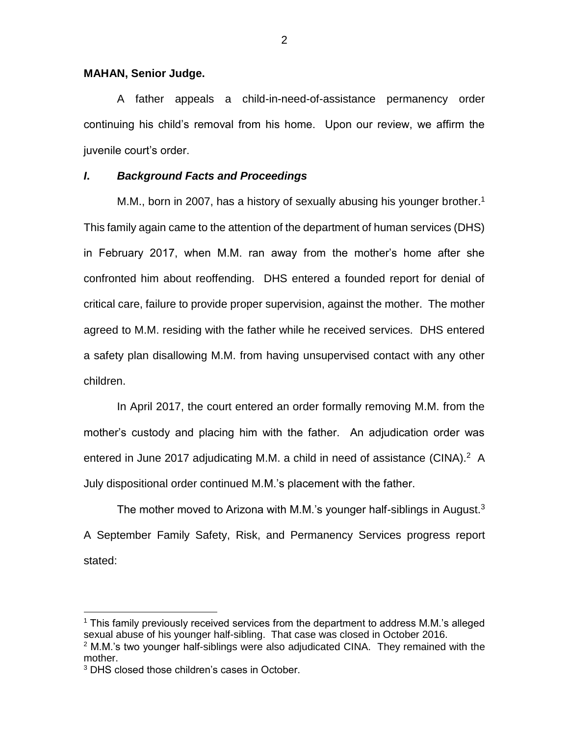### **MAHAN, Senior Judge.**

A father appeals a child-in-need-of-assistance permanency order continuing his child's removal from his home. Upon our review, we affirm the juvenile court's order.

## *I***.** *Background Facts and Proceedings*

M.M., born in 2007, has a history of sexually abusing his younger brother.<sup>1</sup> This family again came to the attention of the department of human services (DHS) in February 2017, when M.M. ran away from the mother's home after she confronted him about reoffending. DHS entered a founded report for denial of critical care, failure to provide proper supervision, against the mother. The mother agreed to M.M. residing with the father while he received services. DHS entered a safety plan disallowing M.M. from having unsupervised contact with any other children.

In April 2017, the court entered an order formally removing M.M. from the mother's custody and placing him with the father. An adjudication order was entered in June 2017 adjudicating M.M. a child in need of assistance (CINA).<sup>2</sup> A July dispositional order continued M.M.'s placement with the father.

The mother moved to Arizona with M.M.'s younger half-siblings in August. $3$ A September Family Safety, Risk, and Permanency Services progress report stated:

 $\overline{a}$ 

<sup>1</sup> This family previously received services from the department to address M.M.'s alleged sexual abuse of his younger half-sibling. That case was closed in October 2016.

 $2$  M.M.'s two younger half-siblings were also adjudicated CINA. They remained with the mother.

<sup>&</sup>lt;sup>3</sup> DHS closed those children's cases in October.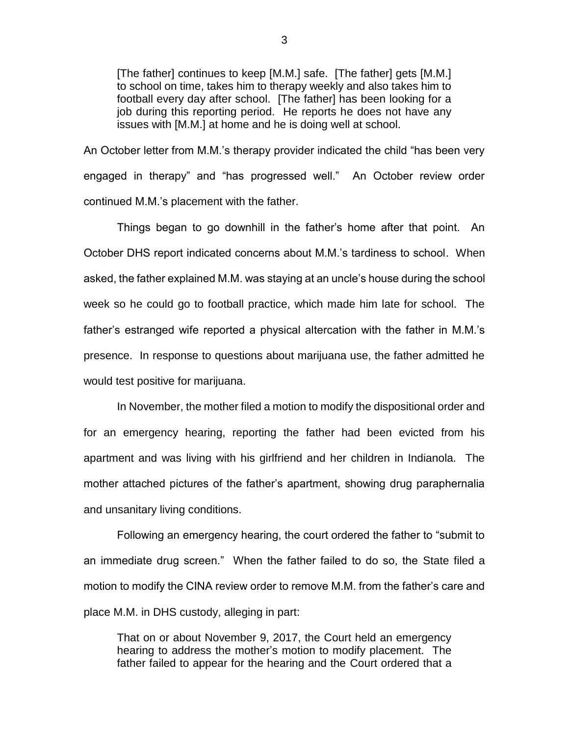[The father] continues to keep [M.M.] safe. [The father] gets [M.M.] to school on time, takes him to therapy weekly and also takes him to football every day after school. [The father] has been looking for a job during this reporting period. He reports he does not have any issues with [M.M.] at home and he is doing well at school.

An October letter from M.M.'s therapy provider indicated the child "has been very engaged in therapy" and "has progressed well." An October review order continued M.M.'s placement with the father.

Things began to go downhill in the father's home after that point. An October DHS report indicated concerns about M.M.'s tardiness to school. When asked, the father explained M.M. was staying at an uncle's house during the school week so he could go to football practice, which made him late for school. The father's estranged wife reported a physical altercation with the father in M.M.'s presence. In response to questions about marijuana use, the father admitted he would test positive for marijuana.

In November, the mother filed a motion to modify the dispositional order and for an emergency hearing, reporting the father had been evicted from his apartment and was living with his girlfriend and her children in Indianola. The mother attached pictures of the father's apartment, showing drug paraphernalia and unsanitary living conditions.

Following an emergency hearing, the court ordered the father to "submit to an immediate drug screen." When the father failed to do so, the State filed a motion to modify the CINA review order to remove M.M. from the father's care and place M.M. in DHS custody, alleging in part:

That on or about November 9, 2017, the Court held an emergency hearing to address the mother's motion to modify placement. The father failed to appear for the hearing and the Court ordered that a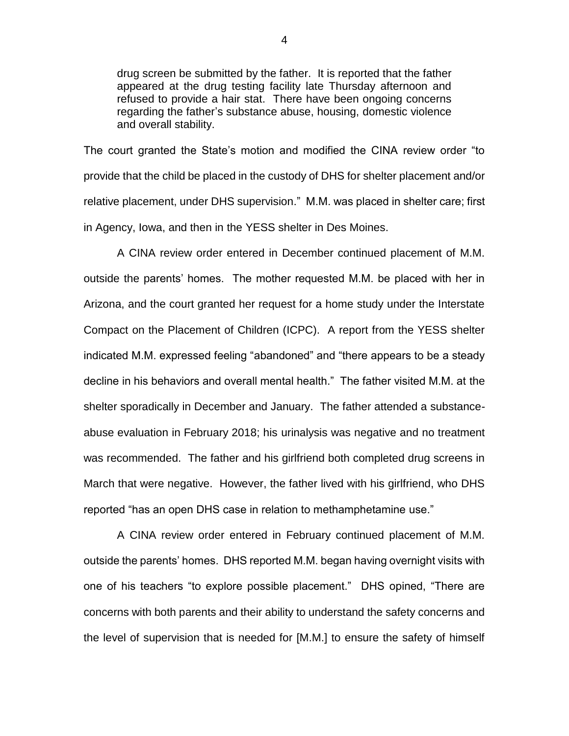drug screen be submitted by the father. It is reported that the father appeared at the drug testing facility late Thursday afternoon and refused to provide a hair stat. There have been ongoing concerns regarding the father's substance abuse, housing, domestic violence and overall stability.

The court granted the State's motion and modified the CINA review order "to provide that the child be placed in the custody of DHS for shelter placement and/or relative placement, under DHS supervision." M.M. was placed in shelter care; first in Agency, Iowa, and then in the YESS shelter in Des Moines.

A CINA review order entered in December continued placement of M.M. outside the parents' homes. The mother requested M.M. be placed with her in Arizona, and the court granted her request for a home study under the Interstate Compact on the Placement of Children (ICPC). A report from the YESS shelter indicated M.M. expressed feeling "abandoned" and "there appears to be a steady decline in his behaviors and overall mental health." The father visited M.M. at the shelter sporadically in December and January. The father attended a substanceabuse evaluation in February 2018; his urinalysis was negative and no treatment was recommended. The father and his girlfriend both completed drug screens in March that were negative. However, the father lived with his girlfriend, who DHS reported "has an open DHS case in relation to methamphetamine use."

A CINA review order entered in February continued placement of M.M. outside the parents' homes. DHS reported M.M. began having overnight visits with one of his teachers "to explore possible placement." DHS opined, "There are concerns with both parents and their ability to understand the safety concerns and the level of supervision that is needed for [M.M.] to ensure the safety of himself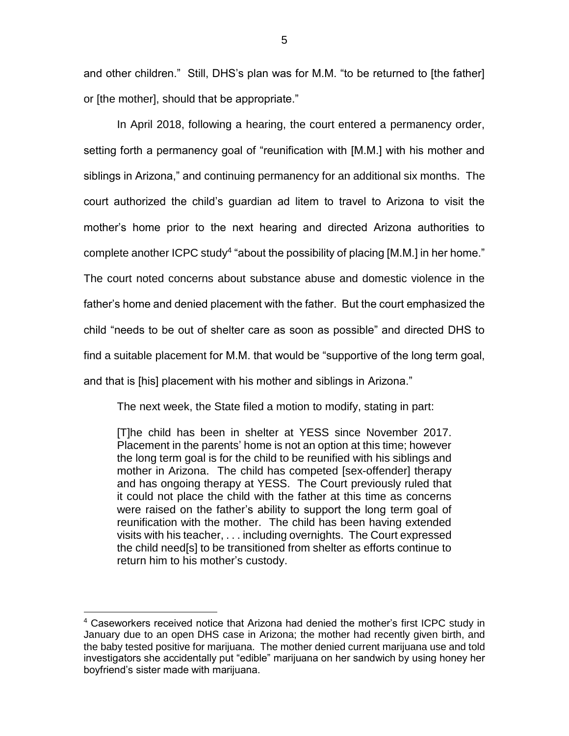and other children." Still, DHS's plan was for M.M. "to be returned to [the father] or [the mother], should that be appropriate."

In April 2018, following a hearing, the court entered a permanency order, setting forth a permanency goal of "reunification with [M.M.] with his mother and siblings in Arizona," and continuing permanency for an additional six months. The court authorized the child's guardian ad litem to travel to Arizona to visit the mother's home prior to the next hearing and directed Arizona authorities to complete another ICPC study<sup>4</sup> "about the possibility of placing [M.M.] in her home." The court noted concerns about substance abuse and domestic violence in the father's home and denied placement with the father. But the court emphasized the child "needs to be out of shelter care as soon as possible" and directed DHS to find a suitable placement for M.M. that would be "supportive of the long term goal, and that is [his] placement with his mother and siblings in Arizona."

The next week, the State filed a motion to modify, stating in part:

[T]he child has been in shelter at YESS since November 2017. Placement in the parents' home is not an option at this time; however the long term goal is for the child to be reunified with his siblings and mother in Arizona. The child has competed [sex-offender] therapy and has ongoing therapy at YESS. The Court previously ruled that it could not place the child with the father at this time as concerns were raised on the father's ability to support the long term goal of reunification with the mother. The child has been having extended visits with his teacher, . . . including overnights. The Court expressed the child need[s] to be transitioned from shelter as efforts continue to return him to his mother's custody.

 $\overline{a}$ 

<sup>4</sup> Caseworkers received notice that Arizona had denied the mother's first ICPC study in January due to an open DHS case in Arizona; the mother had recently given birth, and the baby tested positive for marijuana. The mother denied current marijuana use and told investigators she accidentally put "edible" marijuana on her sandwich by using honey her boyfriend's sister made with marijuana.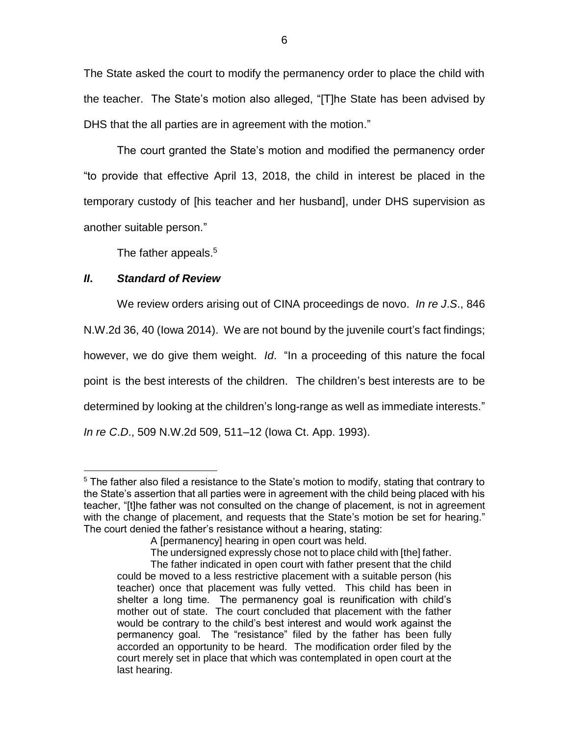The State asked the court to modify the permanency order to place the child with the teacher. The State's motion also alleged, "[T]he State has been advised by DHS that the all parties are in agreement with the motion."

The court granted the State's motion and modified the permanency order "to provide that effective April 13, 2018, the child in interest be placed in the temporary custody of [his teacher and her husband], under DHS supervision as another suitable person."

The father appeals.<sup>5</sup>

# *II***.** *Standard of Review*

We review orders arising out of CINA proceedings de novo. *In re J*.*S*., 846 N.W.2d 36, 40 (Iowa 2014). We are not bound by the juvenile court's fact findings; however, we do give them weight. *Id*. "In a proceeding of this nature the focal point is the best interests of the children. The children's best interests are to be determined by looking at the children's long-range as well as immediate interests." *In re C*.*D*., 509 N.W.2d 509, 511–12 (Iowa Ct. App. 1993).

 $\overline{a}$ <sup>5</sup> The father also filed a resistance to the State's motion to modify, stating that contrary to the State's assertion that all parties were in agreement with the child being placed with his teacher, "[t]he father was not consulted on the change of placement, is not in agreement with the change of placement, and requests that the State's motion be set for hearing." The court denied the father's resistance without a hearing, stating:

A [permanency] hearing in open court was held.

The undersigned expressly chose not to place child with [the] father.

The father indicated in open court with father present that the child could be moved to a less restrictive placement with a suitable person (his teacher) once that placement was fully vetted. This child has been in shelter a long time. The permanency goal is reunification with child's mother out of state. The court concluded that placement with the father would be contrary to the child's best interest and would work against the permanency goal. The "resistance" filed by the father has been fully accorded an opportunity to be heard. The modification order filed by the court merely set in place that which was contemplated in open court at the last hearing.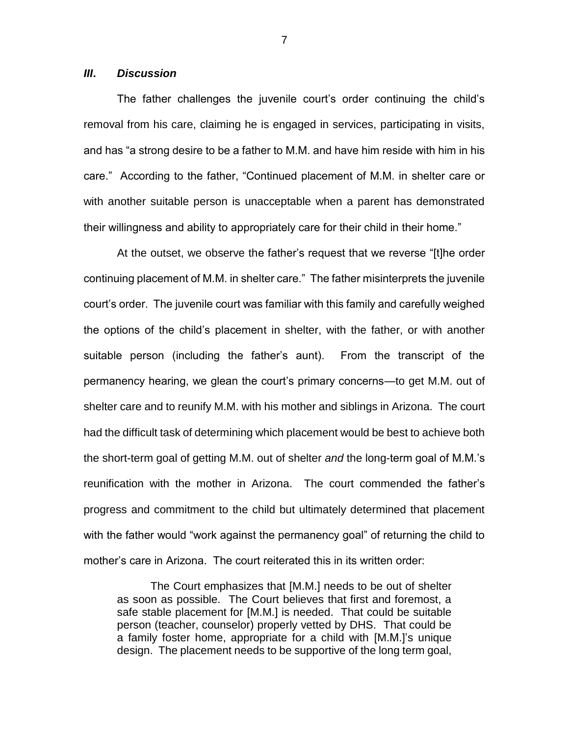### *III***.** *Discussion*

The father challenges the juvenile court's order continuing the child's removal from his care, claiming he is engaged in services, participating in visits, and has "a strong desire to be a father to M.M. and have him reside with him in his care." According to the father, "Continued placement of M.M. in shelter care or with another suitable person is unacceptable when a parent has demonstrated their willingness and ability to appropriately care for their child in their home."

At the outset, we observe the father's request that we reverse "[t]he order continuing placement of M.M. in shelter care." The father misinterprets the juvenile court's order. The juvenile court was familiar with this family and carefully weighed the options of the child's placement in shelter, with the father, or with another suitable person (including the father's aunt). From the transcript of the permanency hearing, we glean the court's primary concerns—to get M.M. out of shelter care and to reunify M.M. with his mother and siblings in Arizona. The court had the difficult task of determining which placement would be best to achieve both the short-term goal of getting M.M. out of shelter *and* the long-term goal of M.M.'s reunification with the mother in Arizona. The court commended the father's progress and commitment to the child but ultimately determined that placement with the father would "work against the permanency goal" of returning the child to mother's care in Arizona. The court reiterated this in its written order:

The Court emphasizes that [M.M.] needs to be out of shelter as soon as possible. The Court believes that first and foremost, a safe stable placement for [M.M.] is needed. That could be suitable person (teacher, counselor) properly vetted by DHS. That could be a family foster home, appropriate for a child with [M.M.]'s unique design. The placement needs to be supportive of the long term goal,

7